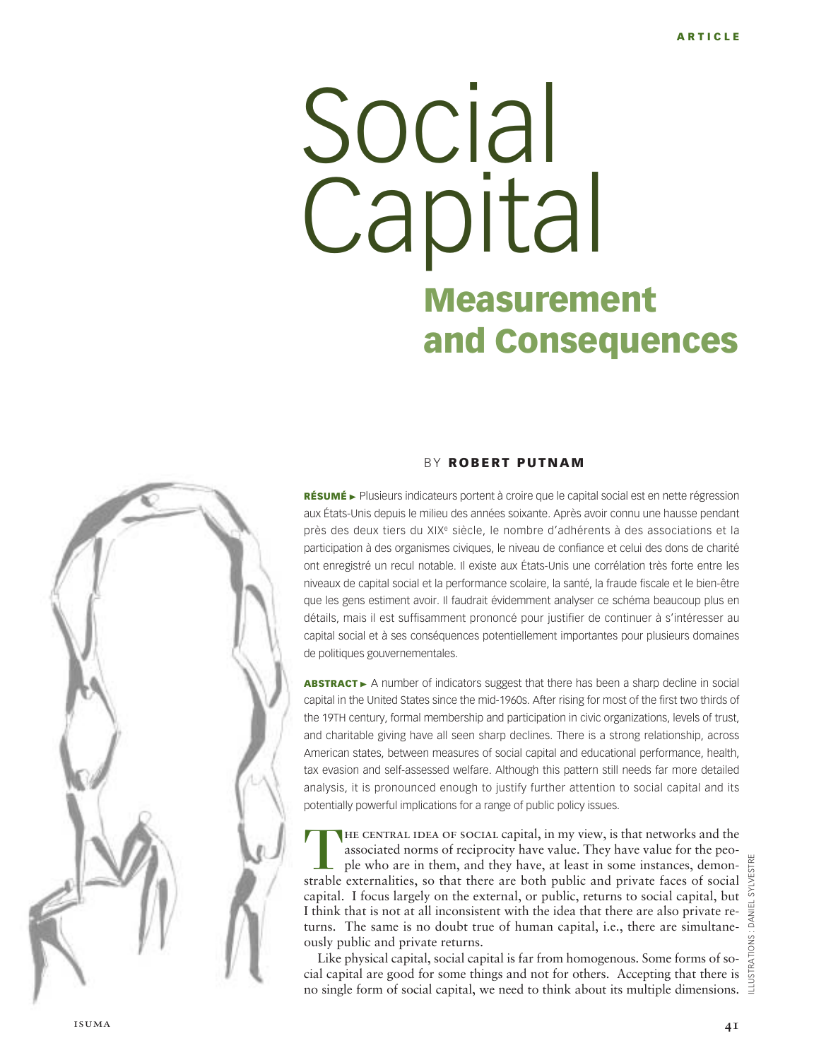# **Measurement and Consequences** Social **Capital**



### B Y **ROBERT PUTNAM**

RÉSUMÉ ► Plusieurs indicateurs portent à croire que le capital social est en nette régression aux États-Unis depuis le milieu des années soixante. Après avoir connu une hausse pendant près des deux tiers du XIX<sup>e</sup> siècle, le nombre d'adhérents à des associations et la participation à des organismes civiques, le niveau de confiance et celui des dons de charité ont enregistré un recul notable. Il existe aux États-Unis une corrélation très forte entre les niveaux de capital social et la performance scolaire, la santé, la fraude fiscale et le bien-être que les gens estiment avoir. Il faudrait évidemment analyser ce schéma beaucoup plus en détails, mais il est suffisamment prononcé pour justifier de continuer à s'intéresser au capital social et à ses conséquences potentiellement importantes pour plusieurs domaines de politiques gouvernementales.

**ABSTRACT** ► A number of indicators suggest that there has been a sharp decline in social capital in the United States since the mid-1960s. After rising for most of the first two thirds of the 19TH century, formal membership and participation in civic organizations, levels of trust, and charitable giving have all seen sharp declines. There is a strong relationship, across American states, between measures of social capital and educational performance, health, tax evasion and self-assessed welfare. Although this pattern still needs far more detailed analysis, it is pronounced enough to justify further attention to social capital and its potentially powerful implications for a range of public policy issues.

THE CENTRAL IDEA OF SOCIAL capital, in my view, is that networks and the associated norms of reciprocity have value. They have value for the people who are in them, and they have, at least in some instances, demonstrable e associated norms of reciprocity have value. They have value for the people who are in them, and they have, at least in some instances, demonstrable externalities, so that there are both public and private faces of social capital. I focus largely on the external, or public, returns to social capital, but I think that is not at all inconsistent with the idea that there are also private returns. The same is no doubt true of human capital, i.e., there are simultaneously public and private returns.

Like physical capital, social capital is far from homogenous. Some forms of social capital are good for some things and not for others. Accepting that there is no single form of social capital, we need to think about its multiple dimensions.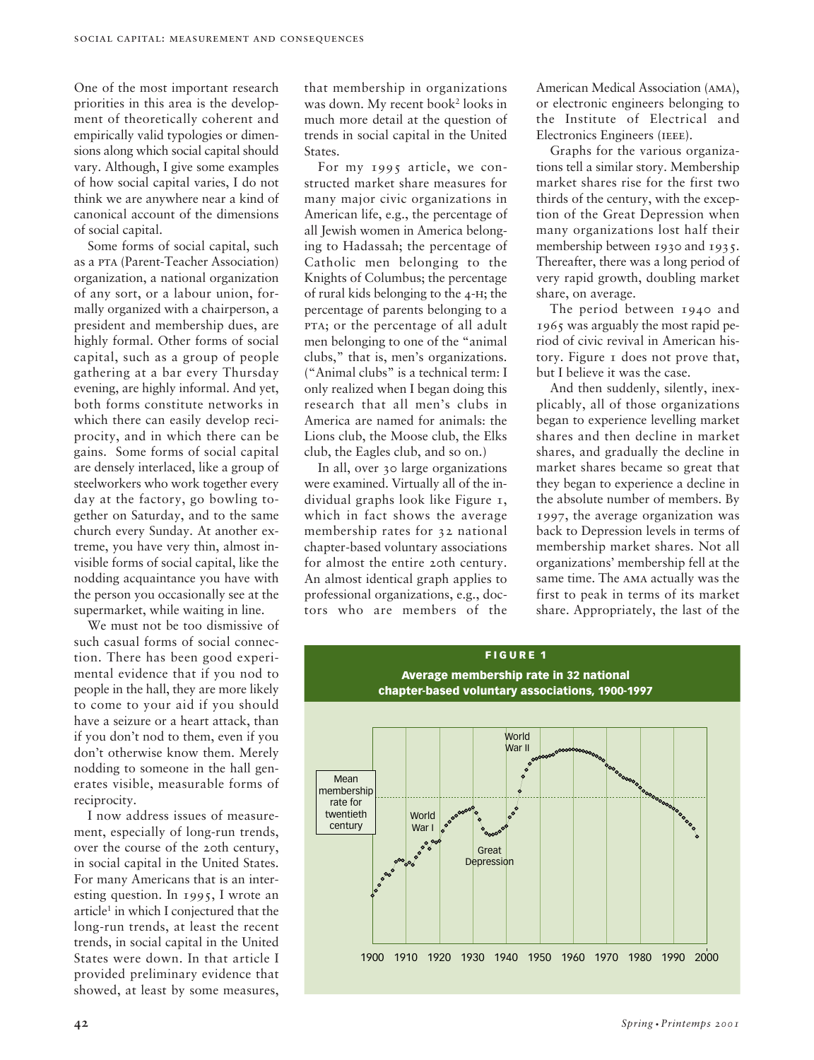One of the most important research priorities in this area is the development of theoretically coherent and empirically valid typologies or dimensions along which social capital should vary. Although, I give some examples of how social capital varies, I do not think we are anywhere near a kind of canonical account of the dimensions of social capital.

Some forms of social capital, such as a pta (Parent-Teacher Association) organization, a national organization of any sort, or a labour union, formally organized with a chairperson, a president and membership dues, are highly formal. Other forms of social capital, such as a group of people gathering at a bar every Thursday evening, are highly informal. And yet, both forms constitute networks in which there can easily develop reciprocity, and in which there can be gains. Some forms of social capital are densely interlaced, like a group of steelworkers who work together every day at the factory, go bowling together on Saturday, and to the same church every Sunday. At another extreme, you have very thin, almost invisible forms of social capital, like the nodding acquaintance you have with the person you occasionally see at the supermarket, while waiting in line.

We must not be too dismissive of such casual forms of social connection. There has been good experimental evidence that if you nod to people in the hall, they are more likely to come to your aid if you should have a seizure or a heart attack, than if you don't nod to them, even if you don't otherwise know them. Merely nodding to someone in the hall generates visible, measurable forms of reciprocity.

I now address issues of measurement, especially of long-run trends, over the course of the 20th century, in social capital in the United States. For many Americans that is an interesting question. In 1995, I wrote an article<sup>1</sup> in which I conjectured that the long-run trends, at least the recent trends, in social capital in the United States were down. In that article I provided preliminary evidence that showed, at least by some measures,

that membership in organizations was down. My recent book<sup>2</sup> looks in much more detail at the question of trends in social capital in the United States.

For my 1995 article, we constructed market share measures for many major civic organizations in American life, e.g., the percentage of all Jewish women in America belonging to Hadassah; the percentage of Catholic men belonging to the Knights of Columbus; the percentage of rural kids belonging to the 4-h; the percentage of parents belonging to a pta; or the percentage of all adult men belonging to one of the "animal clubs," that is, men's organizations. ("Animal clubs" is a technical term: I only realized when I began doing this research that all men's clubs in America are named for animals: the Lions club, the Moose club, the Elks club, the Eagles club, and so on.)

In all, over 30 large organizations were examined. Virtually all of the individual graphs look like Figure 1, which in fact shows the average membership rates for 32 national chapter-based voluntary associations for almost the entire 20th century. An almost identical graph applies to professional organizations, e.g., doctors who are members of the

American Medical Association (ama), or electronic engineers belonging to the Institute of Electrical and Electronics Engineers (IEEE).

Graphs for the various organizations tell a similar story. Membership market shares rise for the first two thirds of the century, with the exception of the Great Depression when many organizations lost half their membership between 1930 and 1935. Thereafter, there was a long period of very rapid growth, doubling market share, on average.

The period between 1940 and 1965 was arguably the most rapid period of civic revival in American history. Figure 1 does not prove that, but I believe it was the case.

And then suddenly, silently, inexplicably, all of those organizations began to experience levelling market shares and then decline in market shares, and gradually the decline in market shares became so great that they began to experience a decline in the absolute number of members. By 1997, the average organization was back to Depression levels in terms of membership market shares. Not all organizations' membership fell at the same time. The ama actually was the first to peak in terms of its market share. Appropriately, the last of the

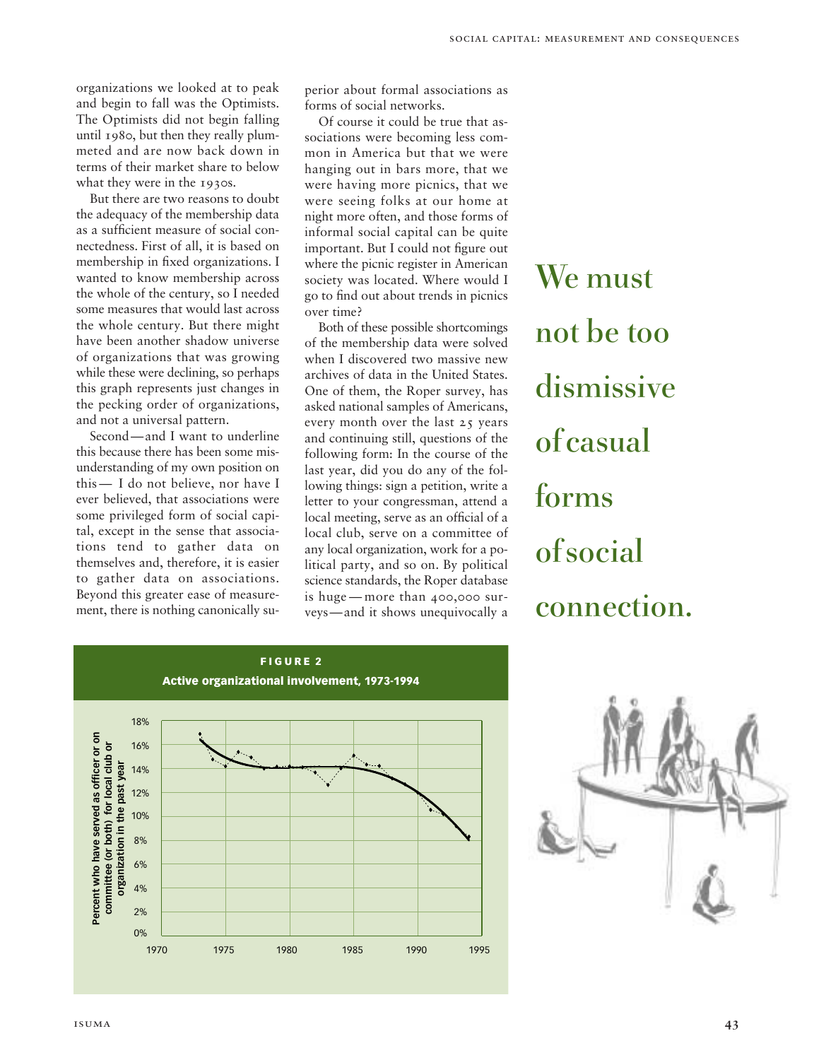organizations we looked at to peak and begin to fall was the Optimists. The Optimists did not begin falling until 1980, but then they really plummeted and are now back down in terms of their market share to below what they were in the 1930s.

But there are two reasons to doubt the adequacy of the membership data as a sufficient measure of social connectedness. First of all, it is based on membership in fixed organizations. I wanted to know membership across the whole of the century, so I needed some measures that would last across the whole century. But there might have been another shadow universe of organizations that was growing while these were declining, so perhaps this graph represents just changes in the pecking order of organizations, and not a universal pattern.

Second—and I want to underline this because there has been some misunderstanding of my own position on this — I do not believe, nor have I ever believed, that associations were some privileged form of social capital, except in the sense that associations tend to gather data on themselves and, therefore, it is easier to gather data on associations. Beyond this greater ease of measurement, there is nothing canonically superior about formal associations as forms of social networks.

Of course it could be true that associations were becoming less common in America but that we were hanging out in bars more, that we were having more picnics, that we were seeing folks at our home at night more often, and those forms of informal social capital can be quite important. But I could not figure out where the picnic register in American society was located. Where would I go to find out about trends in picnics over time?

Both of these possible shortcomings of the membership data were solved when I discovered two massive new archives of data in the United States. One of them, the Roper survey, has asked national samples of Americans, every month over the last 25 years and continuing still, questions of the following form: In the course of the last year, did you do any of the following things: sign a petition, write a letter to your congressman, attend a local meeting, serve as an official of a local club, serve on a committee of any local organization, work for a political party, and so on. By political science standards, the Roper database is huge — more than 400,000 surveys—and it shows unequivocally a

We must not be too dismissive of casual forms of social connection.



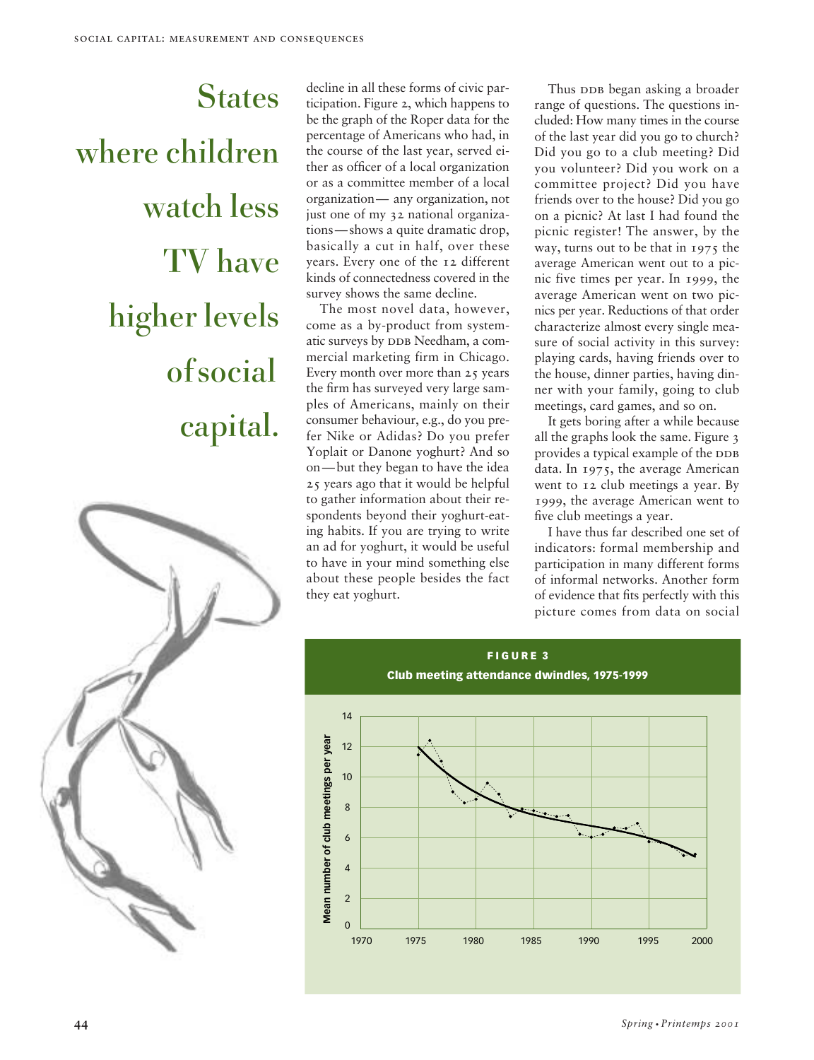# **States** where children watch less TV have higher levels of social capital.



decline in all these forms of civic participation. Figure 2, which happens to be the graph of the Roper data for the percentage of Americans who had, in the course of the last year, served either as officer of a local organization or as a committee member of a local organization— any organization, not just one of my 32 national organizations—shows a quite dramatic drop, basically a cut in half, over these years. Every one of the 12 different kinds of connectedness covered in the survey shows the same decline.

The most novel data, however, come as a by-product from systematic surveys by DDB Needham, a commercial marketing firm in Chicago. Every month over more than 25 years the firm has surveyed very large samples of Americans, mainly on their consumer behaviour, e.g., do you prefer Nike or Adidas? Do you prefer Yoplait or Danone yoghurt? And so on—but they began to have the idea 25 years ago that it would be helpful to gather information about their respondents beyond their yoghurt-eating habits. If you are trying to write an ad for yoghurt, it would be useful to have in your mind something else about these people besides the fact they eat yoghurt.

Thus DDB began asking a broader range of questions. The questions included: How many times in the course of the last year did you go to church? Did you go to a club meeting? Did you volunteer? Did you work on a committee project? Did you have friends over to the house? Did you go on a picnic? At last I had found the picnic register! The answer, by the way, turns out to be that in 1975 the average American went out to a picnic five times per year. In 1999, the average American went on two picnics per year. Reductions of that order characterize almost every single measure of social activity in this survey: playing cards, having friends over to the house, dinner parties, having dinner with your family, going to club meetings, card games, and so on.

It gets boring after a while because all the graphs look the same. Figure 3 provides a typical example of the DDB data. In 1975, the average American went to 12 club meetings a year. By 1999, the average American went to five club meetings a year.

I have thus far described one set of indicators: formal membership and participation in many different forms of informal networks. Another form of evidence that fits perfectly with this picture comes from data on social

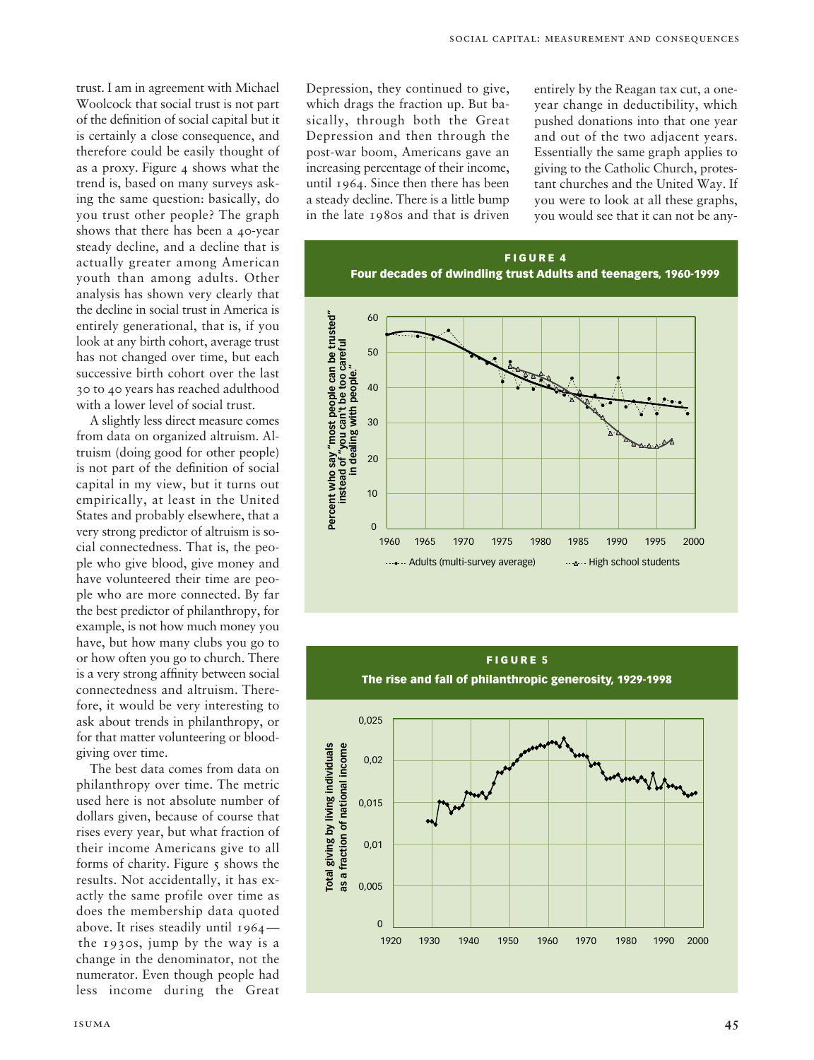trust. I am in agreement with Michael Woolcock that social trust is not part of the definition of social capital but it is certainly a close consequence, and therefore could be easily thought of as a proxy. Figure 4 shows what the trend is, based on many surveys asking the same question: basically, do you trust other people? The graph shows that there has been a 40-year steady decline, and a decline that is actually greater among American youth than among adults. Other analysis has shown very clearly that the decline in social trust in America is entirely generational, that is, if you look at any birth cohort, average trust has not changed over time, but each successive birth cohort over the last 30 to 40 years has reached adulthood with a lower level of social trust.

A slightly less direct measure comes from data on organized altruism. Altruism (doing good for other people) is not part of the definition of social capital in my view, but it turns out empirically, at least in the United States and probably elsewhere, that a very strong predictor of altruism is social connectedness. That is, the people who give blood, give money and have volunteered their time are people who are more connected. By far the best predictor of philanthropy, for example, is not how much money you have, but how many clubs you go to or how often you go to church. There is a very strong affinity between social connectedness and altruism. Therefore, it would be very interesting to ask about trends in philanthropy, or for that matter volunteering or bloodgiving over time.

The best data comes from data on philanthropy over time. The metric used here is not absolute number of dollars given, because of course that rises every year, but what fraction of their income Americans give to all forms of charity. Figure  $\zeta$  shows the results. Not accidentally, it has exactly the same profile over time as does the membership data quoted above. It rises steadily until 1964 the 1930s, jump by the way is a change in the denominator, not the numerator. Even though people had less income during the Great

Depression, they continued to give, which drags the fraction up. But basically, through both the Great Depression and then through the post-war boom, Americans gave an increasing percentage of their income, until 1964. Since then there has been a steady decline. There is a little bump in the late 1980s and that is driven

entirely by the Reagan tax cut, a oneyear change in deductibility, which pushed donations into that one year and out of the two adjacent years. Essentially the same graph applies to giving to the Catholic Church, protestant churches and the United Way. If you were to look at all these graphs, you would see that it can not be any-



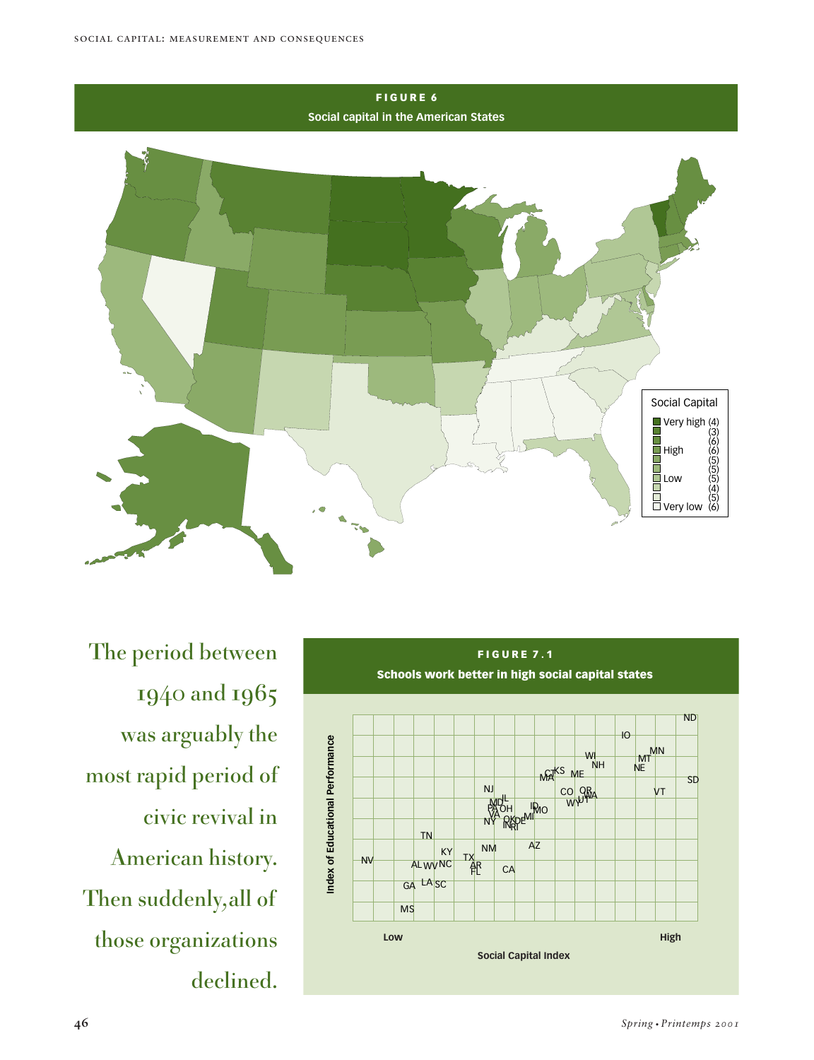

The period between 1940 and 1965 was arguably the most rapid period of civic revival in American history. Then suddenly,all of those organizations declined.

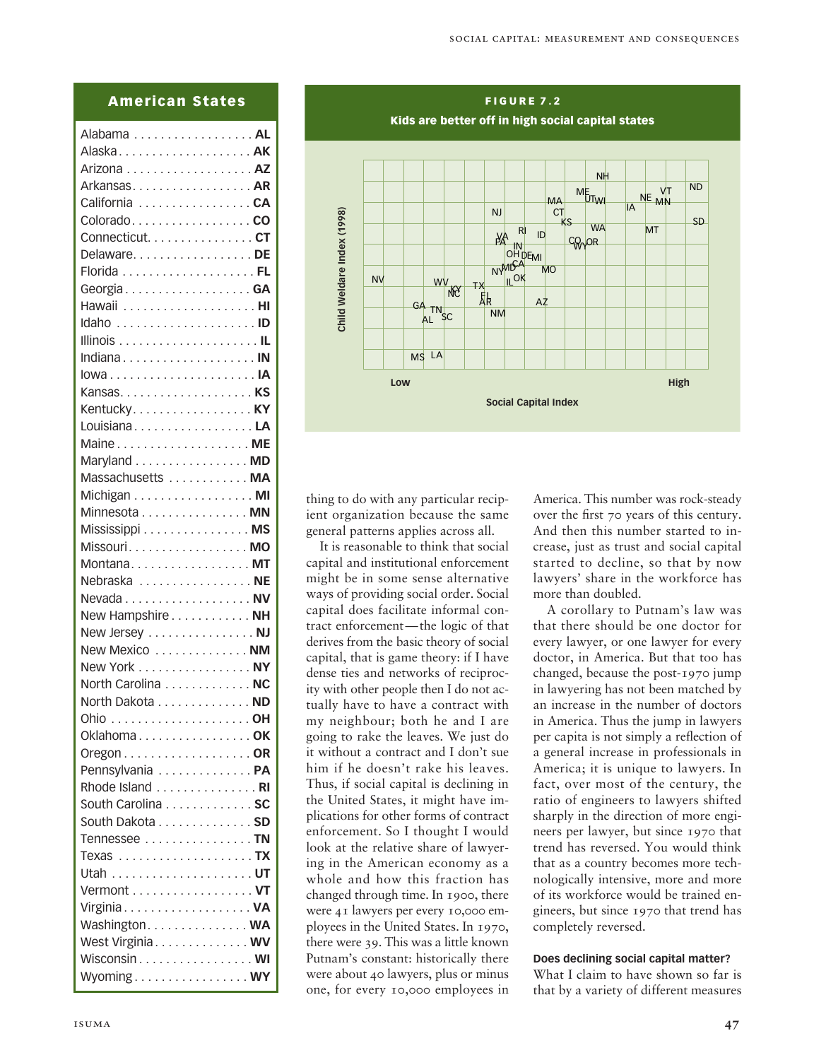## **American States**

| Alaska AK                                                      |
|----------------------------------------------------------------|
|                                                                |
| Arkansas AR                                                    |
| California CA                                                  |
| ColoradoCO                                                     |
| Connecticut. CT                                                |
| Delaware. DE                                                   |
|                                                                |
| GeorgiaGA                                                      |
|                                                                |
|                                                                |
|                                                                |
| Indiana IN                                                     |
|                                                                |
|                                                                |
| Kentucky KY                                                    |
| LouisianaLA                                                    |
| Maine ME                                                       |
| Maryland  MD                                                   |
| Massachusetts  MA                                              |
| Michigan MI                                                    |
| Minnesota MN                                                   |
| Mississippi MS                                                 |
| Missouri. MO                                                   |
|                                                                |
| Montana MT                                                     |
| Nebraska  NE                                                   |
|                                                                |
| New Hampshire NH                                               |
| New Jersey NJ                                                  |
| New Mexico  NM                                                 |
| New York NY                                                    |
| North Carolina NC                                              |
| North Dakota  ND                                               |
|                                                                |
| OklahomaOK                                                     |
| Oregon . $\dots$ . $\dots$ . $\dots$ . $\dots$ . $\ldots$ . OR |
| Pennsylvania  PA                                               |
| Rhode Island RI                                                |
| South Carolina SC                                              |
| South Dakota SD                                                |
| Tennessee TN                                                   |
| Texas <b>TX</b>                                                |
|                                                                |
| Vermont VT                                                     |
| Virginia VA                                                    |
| Washington. WA                                                 |
| West Virginia WV                                               |
| Wisconsin WI                                                   |
| WyomingWY                                                      |
|                                                                |



thing to do with any particular recipient organization because the same general patterns applies across all.

It is reasonable to think that social capital and institutional enforcement might be in some sense alternative ways of providing social order. Social capital does facilitate informal contract enforcement—the logic of that derives from the basic theory of social capital, that is game theory: if I have dense ties and networks of reciprocity with other people then I do not actually have to have a contract with my neighbour; both he and I are going to rake the leaves. We just do it without a contract and I don't sue him if he doesn't rake his leaves. Thus, if social capital is declining in the United States, it might have implications for other forms of contract enforcement. So I thought I would look at the relative share of lawyering in the American economy as a whole and how this fraction has changed through time. In 1900, there were 41 lawyers per every 10,000 employees in the United States. In 1970, there were 39. This was a little known Putnam's constant: historically there were about 40 lawyers, plus or minus one, for every 10,000 employees in

America. This number was rock-steady over the first 70 years of this century. And then this number started to increase, just as trust and social capital started to decline, so that by now lawyers' share in the workforce has more than doubled.

A corollary to Putnam's law was that there should be one doctor for every lawyer, or one lawyer for every doctor, in America. But that too has changed, because the post-1970 jump in lawyering has not been matched by an increase in the number of doctors in America. Thus the jump in lawyers per capita is not simply a reflection of a general increase in professionals in America; it is unique to lawyers. In fact, over most of the century, the ratio of engineers to lawyers shifted sharply in the direction of more engineers per lawyer, but since 1970 that trend has reversed. You would think that as a country becomes more technologically intensive, more and more of its workforce would be trained engineers, but since 1970 that trend has completely reversed.

#### **Does declining social capital matter?**

What I claim to have shown so far is that by a variety of different measures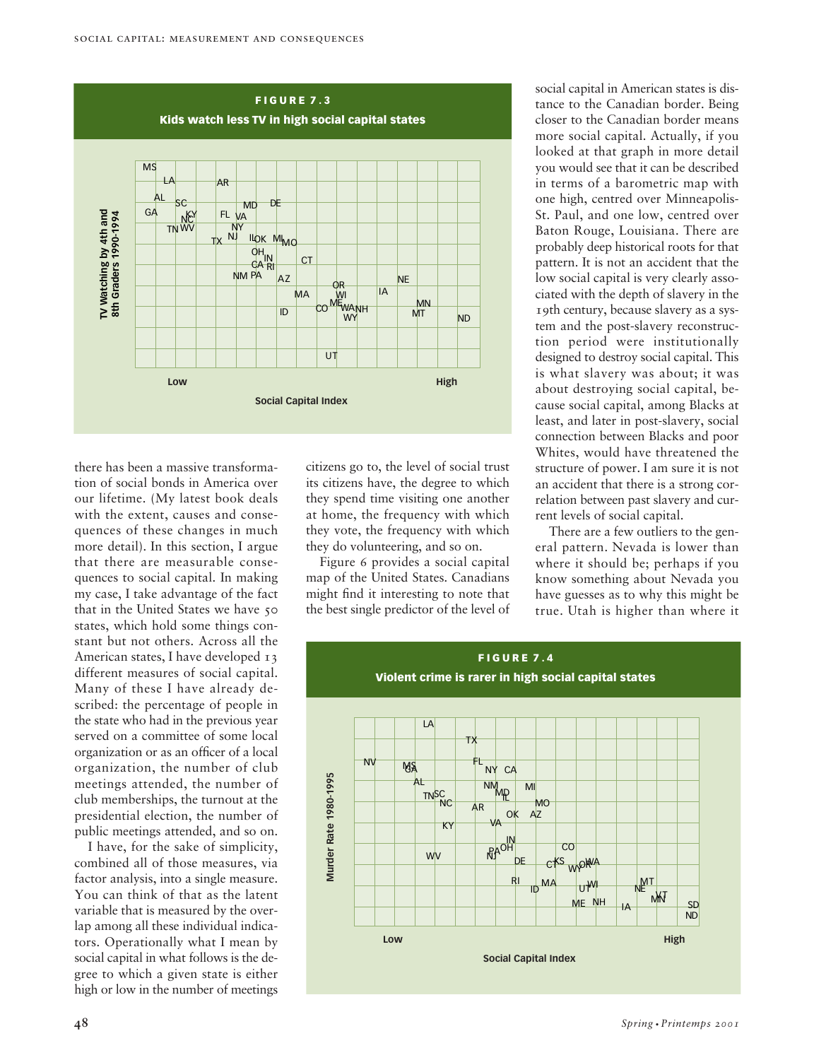

there has been a massive transformation of social bonds in America over our lifetime. (My latest book deals with the extent, causes and consequences of these changes in much more detail). In this section, I argue that there are measurable consequences to social capital. In making my case, I take advantage of the fact that in the United States we have 50 states, which hold some things constant but not others. Across all the American states, I have developed 13 different measures of social capital. Many of these I have already described: the percentage of people in the state who had in the previous year served on a committee of some local organization or as an officer of a local organization, the number of club meetings attended, the number of club memberships, the turnout at the presidential election, the number of

I have, for the sake of simplicity, combined all of those measures, via factor analysis, into a single measure. You can think of that as the latent variable that is measured by the overlap among all these individual indicators. Operationally what I mean by social capital in what follows is the degree to which a given state is either high or low in the number of meetings

public meetings attended, and so on.

citizens go to, the level of social trust its citizens have, the degree to which they spend time visiting one another at home, the frequency with which they vote, the frequency with which they do volunteering, and so on.

Figure 6 provides a social capital map of the United States. Canadians might find it interesting to note that the best single predictor of the level of social capital in American states is distance to the Canadian border. Being closer to the Canadian border means more social capital. Actually, if you looked at that graph in more detail you would see that it can be described in terms of a barometric map with one high, centred over Minneapolis-St. Paul, and one low, centred over Baton Rouge, Louisiana. There are probably deep historical roots for that pattern. It is not an accident that the low social capital is very clearly associated with the depth of slavery in the 19th century, because slavery as a system and the post-slavery reconstruction period were institutionally designed to destroy social capital. This is what slavery was about; it was about destroying social capital, because social capital, among Blacks at least, and later in post-slavery, social connection between Blacks and poor Whites, would have threatened the structure of power. I am sure it is not an accident that there is a strong correlation between past slavery and current levels of social capital.

There are a few outliers to the general pattern. Nevada is lower than where it should be; perhaps if you know something about Nevada you have guesses as to why this might be true. Utah is higher than where it

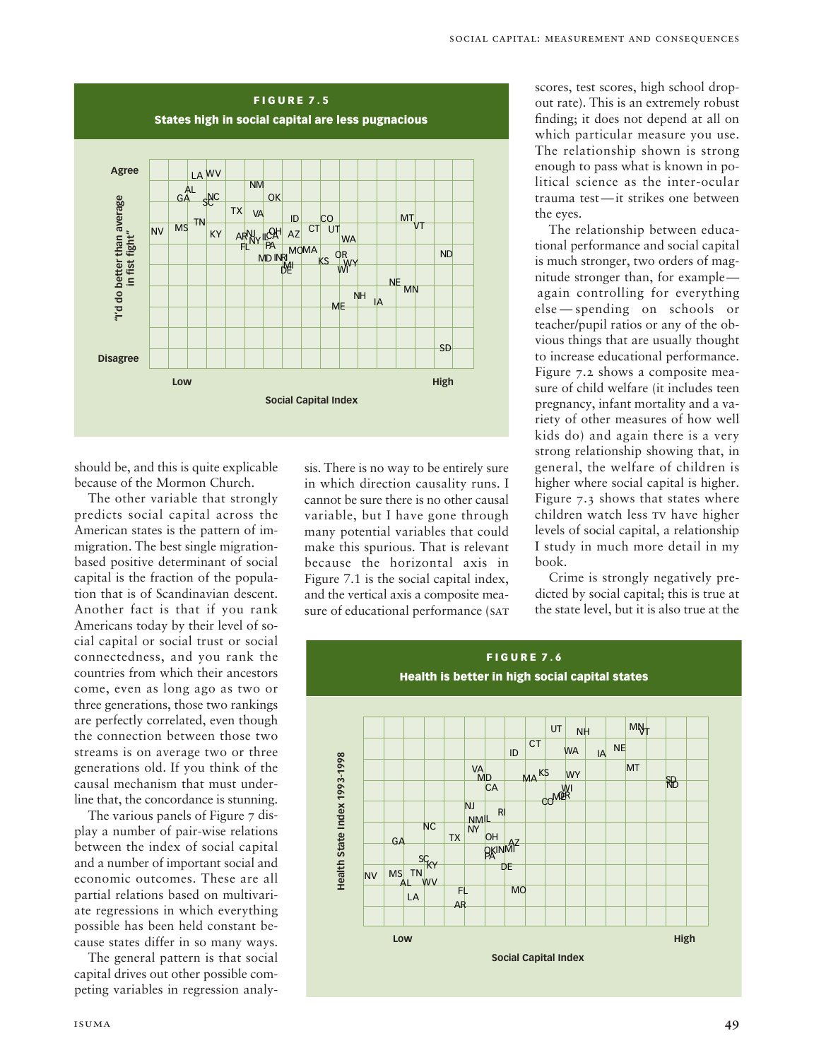

should be, and this is quite explicable because of the Mormon Church.

The other variable that strongly predicts social capital across the American states is the pattern of immigration. The best single migrationbased positive determinant of social capital is the fraction of the population that is of Scandinavian descent. Another fact is that if you rank Americans today by their level of social capital or social trust or social connectedness, and you rank the countries from which their ancestors come, even as long ago as two or three generations, those two rankings are perfectly correlated, even though the connection between those two streams is on average two or three generations old. If you think of the causal mechanism that must underline that, the concordance is stunning.

The various panels of Figure 7 display a number of pair-wise relations between the index of social capital and a number of important social and economic outcomes. These are all partial relations based on multivariate regressions in which everything possible has been held constant because states differ in so many ways.

The general pattern is that social capital drives out other possible competing variables in regression analysis. There is no way to be entirely sure in which direction causality runs. I cannot be sure there is no other causal variable, but I have gone through many potential variables that could make this spurious. That is relevant because the horizontal axis in Figure 7.1 is the social capital index, and the vertical axis a composite measure of educational performance (SAT scores, test scores, high school dropout rate). This is an extremely robust finding; it does not depend at all on which particular measure you use. The relationship shown is strong enough to pass what is known in political science as the inter-ocular trauma test—it strikes one between the eyes.

The relationship between educational performance and social capital is much stronger, two orders of magnitude stronger than, for example again controlling for everything else — spending on schools or teacher/pupil ratios or any of the obvious things that are usually thought to increase educational performance. Figure 7.2 shows a composite measure of child welfare (it includes teen pregnancy, infant mortality and a variety of other measures of how well kids do) and again there is a very strong relationship showing that, in general, the welfare of children is higher where social capital is higher. Figure 7.3 shows that states where children watch less tv have higher levels of social capital, a relationship I study in much more detail in my book.

Crime is strongly negatively predicted by social capital; this is true at the state level, but it is also true at the

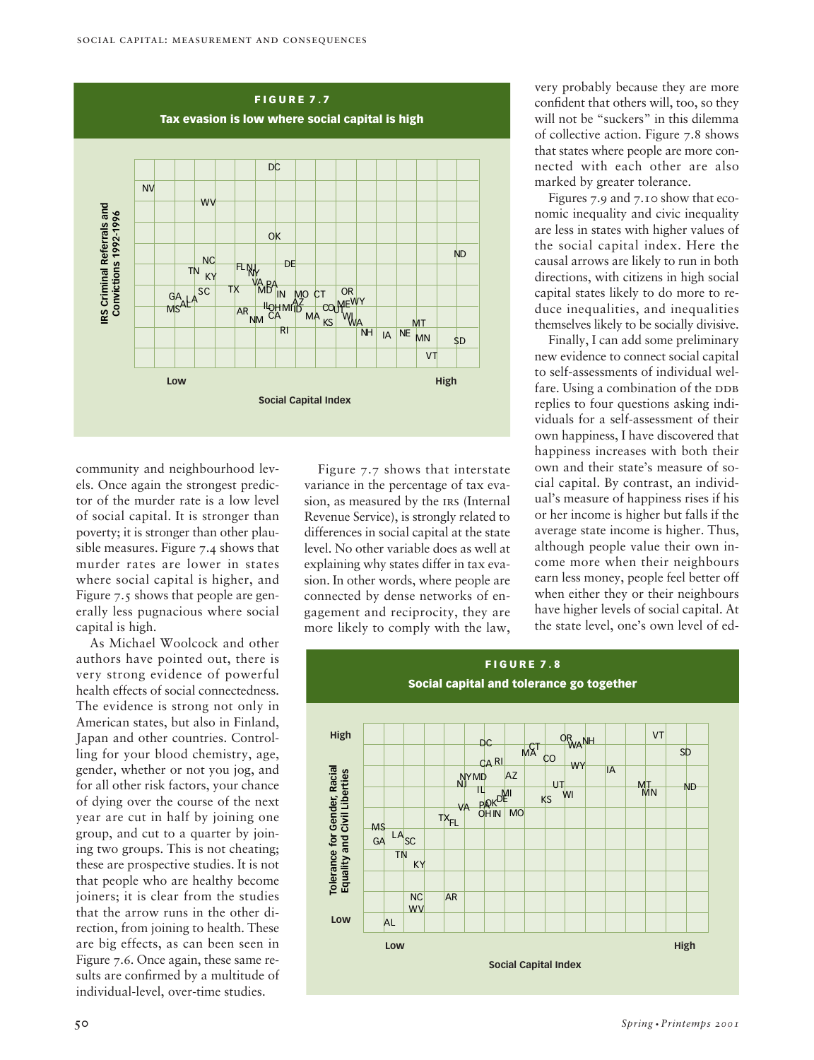

community and neighbourhood levels. Once again the strongest predictor of the murder rate is a low level of social capital. It is stronger than poverty; it is stronger than other plausible measures. Figure 7.4 shows that murder rates are lower in states where social capital is higher, and Figure 7.5 shows that people are generally less pugnacious where social capital is high.

As Michael Woolcock and other authors have pointed out, there is very strong evidence of powerful health effects of social connectedness. The evidence is strong not only in American states, but also in Finland, Japan and other countries. Controlling for your blood chemistry, age, gender, whether or not you jog, and for all other risk factors, your chance of dying over the course of the next year are cut in half by joining one group, and cut to a quarter by joining two groups. This is not cheating; these are prospective studies. It is not that people who are healthy become joiners; it is clear from the studies that the arrow runs in the other direction, from joining to health. These are big effects, as can been seen in Figure 7.6. Once again, these same results are confirmed by a multitude of individual-level, over-time studies.

Figure 7.7 shows that interstate variance in the percentage of tax evasion, as measured by the IRS (Internal Revenue Service), is strongly related to differences in social capital at the state level. No other variable does as well at explaining why states differ in tax evasion. In other words, where people are connected by dense networks of engagement and reciprocity, they are more likely to comply with the law,

very probably because they are more confident that others will, too, so they will not be "suckers" in this dilemma of collective action. Figure 7.8 shows that states where people are more connected with each other are also marked by greater tolerance.

Figures 7.9 and 7.10 show that economic inequality and civic inequality are less in states with higher values of the social capital index. Here the causal arrows are likely to run in both directions, with citizens in high social capital states likely to do more to reduce inequalities, and inequalities themselves likely to be socially divisive.

Finally, I can add some preliminary new evidence to connect social capital to self-assessments of individual welfare. Using a combination of the DDB replies to four questions asking individuals for a self-assessment of their own happiness, I have discovered that happiness increases with both their own and their state's measure of social capital. By contrast, an individual's measure of happiness rises if his or her income is higher but falls if the average state income is higher. Thus, although people value their own income more when their neighbours earn less money, people feel better off when either they or their neighbours have higher levels of social capital. At the state level, one's own level of ed-